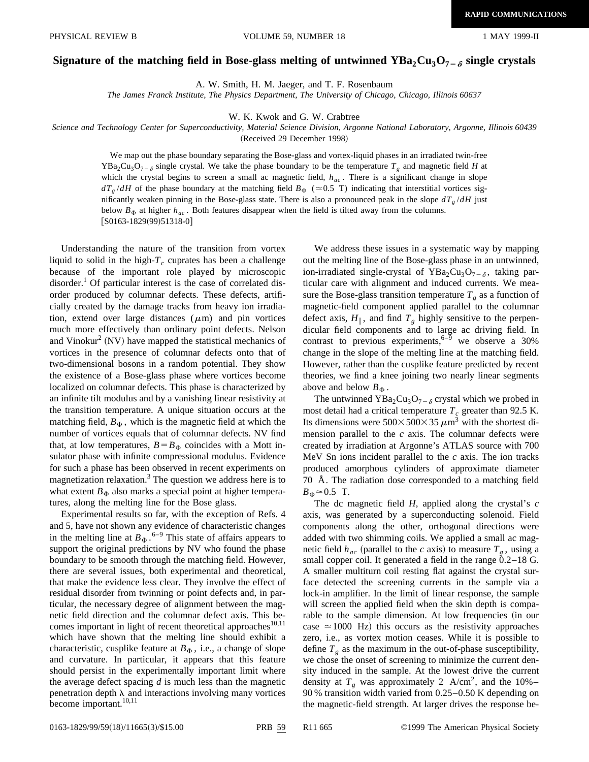## Signature of the matching field in Bose-glass melting of untwinned  $YBa_2Cu_3O_{7-\delta}$  single crystals

A. W. Smith, H. M. Jaeger, and T. F. Rosenbaum

*The James Franck Institute, The Physics Department, The University of Chicago, Chicago, Illinois 60637*

W. K. Kwok and G. W. Crabtree

*Science and Technology Center for Superconductivity, Material Science Division, Argonne National Laboratory, Argonne, Illinois 60439*

(Received 29 December 1998)

We map out the phase boundary separating the Bose-glass and vortex-liquid phases in an irradiated twin-free YBa<sub>2</sub>Cu<sub>3</sub>O<sub>7- $\delta$ </sub> single crystal. We take the phase boundary to be the temperature  $T_g$  and magnetic field *H* at which the crystal begins to screen a small ac magnetic field,  $h_{ac}$ . There is a significant change in slope  $dT_g/dH$  of the phase boundary at the matching field  $B_\Phi$  ( $\approx$  0.5 T) indicating that interstitial vortices significantly weaken pinning in the Bose-glass state. There is also a pronounced peak in the slope  $dT_g/dH$  just below  $B_{\Phi}$  at higher  $h_{ac}$ . Both features disappear when the field is tilted away from the columns.  $[$ S0163-1829(99)51318-0]

Understanding the nature of the transition from vortex liquid to solid in the high- $T_c$  cuprates has been a challenge because of the important role played by microscopic disorder.<sup>1</sup> Of particular interest is the case of correlated disorder produced by columnar defects. These defects, artificially created by the damage tracks from heavy ion irradiation, extend over large distances  $(\mu m)$  and pin vortices much more effectively than ordinary point defects. Nelson and Vinokur<sup>2</sup> (NV) have mapped the statistical mechanics of vortices in the presence of columnar defects onto that of two-dimensional bosons in a random potential. They show the existence of a Bose-glass phase where vortices become localized on columnar defects. This phase is characterized by an infinite tilt modulus and by a vanishing linear resistivity at the transition temperature. A unique situation occurs at the matching field,  $B_{\Phi}$ , which is the magnetic field at which the number of vortices equals that of columnar defects. NV find that, at low temperatures,  $B = B_{\Phi}$  coincides with a Mott insulator phase with infinite compressional modulus. Evidence for such a phase has been observed in recent experiments on magnetization relaxation.<sup>3</sup> The question we address here is to what extent  $B_{\Phi}$  also marks a special point at higher temperatures, along the melting line for the Bose glass.

Experimental results so far, with the exception of Refs. 4 and 5, have not shown any evidence of characteristic changes in the melting line at  $B_{\Phi}$ .<sup>6–9</sup> This state of affairs appears to support the original predictions by NV who found the phase boundary to be smooth through the matching field. However, there are several issues, both experimental and theoretical, that make the evidence less clear. They involve the effect of residual disorder from twinning or point defects and, in particular, the necessary degree of alignment between the magnetic field direction and the columnar defect axis. This becomes important in light of recent theoretical approaches<sup>10,11</sup> which have shown that the melting line should exhibit a characteristic, cusplike feature at  $B_{\Phi}$ , i.e., a change of slope and curvature. In particular, it appears that this feature should persist in the experimentally important limit where the average defect spacing *d* is much less than the magnetic penetration depth  $\lambda$  and interactions involving many vortices become important.<sup>10,11</sup>

We address these issues in a systematic way by mapping out the melting line of the Bose-glass phase in an untwinned, ion-irradiated single-crystal of YBa<sub>2</sub>Cu<sub>3</sub>O<sub>7- $\delta$ </sub>, taking particular care with alignment and induced currents. We measure the Bose-glass transition temperature  $T_g$  as a function of magnetic-field component applied parallel to the columnar defect axis,  $H_{\parallel}$ , and find  $T_g$  highly sensitive to the perpendicular field components and to large ac driving field. In contrast to previous experiments,  $6-9$  we observe a 30% change in the slope of the melting line at the matching field. However, rather than the cusplike feature predicted by recent theories, we find a knee joining two nearly linear segments above and below  $B_{\Phi}$ .

The untwinned  $YBa<sub>2</sub>Cu<sub>3</sub>O<sub>7-\delta</sub>$  crystal which we probed in most detail had a critical temperature  $T_c$  greater than 92.5 K. Its dimensions were  $500 \times 500 \times 35 \mu m^3$  with the shortest dimension parallel to the *c* axis. The columnar defects were created by irradiation at Argonne's ATLAS source with 700 MeV Sn ions incident parallel to the *c* axis. The ion tracks produced amorphous cylinders of approximate diameter 70 Å. The radiation dose corresponded to a matching field  $B_\Phi \approx 0.5$  T.

The dc magnetic field *H*, applied along the crystal's *c* axis, was generated by a superconducting solenoid. Field components along the other, orthogonal directions were added with two shimming coils. We applied a small ac magnetic field  $h_{ac}$  (parallel to the *c* axis) to measure  $T_g$ , using a small copper coil. It generated a field in the range 0.2–18 G. A smaller multiturn coil resting flat against the crystal surface detected the screening currents in the sample via a lock-in amplifier. In the limit of linear response, the sample will screen the applied field when the skin depth is comparable to the sample dimension. At low frequencies (in our case  $\simeq$  1000 Hz) this occurs as the resistivity approaches zero, i.e., as vortex motion ceases. While it is possible to define  $T<sub>g</sub>$  as the maximum in the out-of-phase susceptibility, we chose the onset of screening to minimize the current density induced in the sample. At the lowest drive the current density at  $T_g$  was approximately 2 A/cm<sup>2</sup>, and the 10%– 90 % transition width varied from 0.25–0.50 K depending on the magnetic-field strength. At larger drives the response be-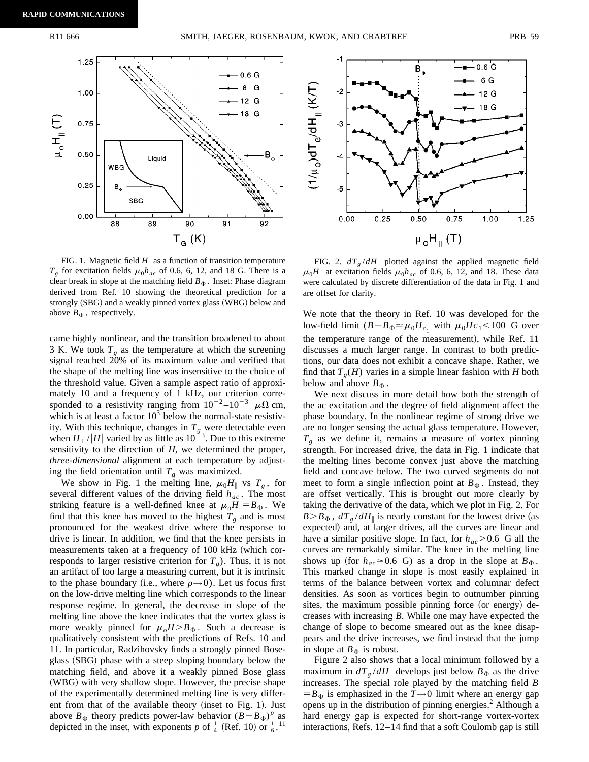

FIG. 1. Magnetic field  $H_{\parallel}$  as a function of transition temperature  $T_g$  for excitation fields  $\mu_0 h_{ac}$  of 0.6, 6, 12, and 18 G. There is a clear break in slope at the matching field  $B_{\Phi}$ . Inset: Phase diagram derived from Ref. 10 showing the theoretical prediction for a strongly (SBG) and a weakly pinned vortex glass (WBG) below and above  $B_{\Phi}$ , respectively.

came highly nonlinear, and the transition broadened to about 3 K. We took  $T<sub>g</sub>$  as the temperature at which the screening signal reached 20% of its maximum value and verified that the shape of the melting line was insensitive to the choice of the threshold value. Given a sample aspect ratio of approximately 10 and a frequency of 1 kHz, our criterion corresponded to a resistivity ranging from  $10^{-2}$ – $10^{-3}$   $\mu\Omega$  cm, which is at least a factor  $10<sup>3</sup>$  below the normal-state resistivity. With this technique, changes in  $T_g$  were detectable even when  $H_{\perp}$  /|*H*| varied by as little as  $10^{-3}$ . Due to this extreme sensitivity to the direction of *H*, we determined the proper, *three-dimensional* alignment at each temperature by adjusting the field orientation until  $T_g$  was maximized.

We show in Fig. 1 the melting line,  $\mu_0H_{\parallel}$  vs  $T_g$ , for several different values of the driving field  $h_{ac}$ . The most striking feature is a well-defined knee at  $\mu_o H_{\parallel} = B_{\Phi}$ . We find that this knee has moved to the highest  $T_g$  and is most pronounced for the weakest drive where the response to drive is linear. In addition, we find that the knee persists in measurements taken at a frequency of 100 kHz (which corresponds to larger resistive criterion for  $T<sub>g</sub>$ ). Thus, it is not an artifact of too large a measuring current, but it is intrinsic to the phase boundary (i.e., where  $\rho \rightarrow 0$ ). Let us focus first on the low-drive melting line which corresponds to the linear response regime. In general, the decrease in slope of the melting line above the knee indicates that the vortex glass is more weakly pinned for  $\mu_oH > B_\Phi$ . Such a decrease is qualitatively consistent with the predictions of Refs. 10 and 11. In particular, Radzihovsky finds a strongly pinned Boseglass (SBG) phase with a steep sloping boundary below the matching field, and above it a weakly pinned Bose glass (WBG) with very shallow slope. However, the precise shape of the experimentally determined melting line is very different from that of the available theory (inset to Fig. 1). Just above  $B_{\Phi}$  theory predicts power-law behavior  $(B - B_{\Phi})^p$  as depicted in the inset, with exponents p of  $\frac{1}{4}$  (Ref. 10) or  $\frac{1}{6}$ .<sup>11</sup>



FIG. 2.  $dT_{g}/dH_{\parallel}$  plotted against the applied magnetic field  $\mu_0H_{\parallel}$  at excitation fields  $\mu_0h_{ac}$  of 0.6, 6, 12, and 18. These data were calculated by discrete differentiation of the data in Fig. 1 and are offset for clarity.

We note that the theory in Ref. 10 was developed for the low-field limit  $(B - B_{\Phi} \approx \mu_0 H_{c_1}$  with  $\mu_0 H c_1 < 100$  G over the temperature range of the measurement), while Ref. 11 discusses a much larger range. In contrast to both predictions, our data does not exhibit a concave shape. Rather, we find that  $T<sub>g</sub>(H)$  varies in a simple linear fashion with *H* both below and above  $B_{\Phi}$ .

We next discuss in more detail how both the strength of the ac excitation and the degree of field alignment affect the phase boundary. In the nonlinear regime of strong drive we are no longer sensing the actual glass temperature. However,  $T_g$  as we define it, remains a measure of vortex pinning strength. For increased drive, the data in Fig. 1 indicate that the melting lines become convex just above the matching field and concave below. The two curved segments do not meet to form a single inflection point at  $B_{\Phi}$ . Instead, they are offset vertically. This is brought out more clearly by taking the derivative of the data, which we plot in Fig. 2. For  $B > B_{\Phi}$ ,  $dT_g/dH_{\parallel}$  is nearly constant for the lowest drive (as expected) and, at larger drives, all the curves are linear and have a similar positive slope. In fact, for  $h_{ac} > 0.6$  G all the curves are remarkably similar. The knee in the melting line shows up (for  $h_{ac} \approx 0.6$  G) as a drop in the slope at  $B_{\Phi}$ . This marked change in slope is most easily explained in terms of the balance between vortex and columnar defect densities. As soon as vortices begin to outnumber pinning sites, the maximum possible pinning force (or energy) decreases with increasing *B*. While one may have expected the change of slope to become smeared out as the knee disappears and the drive increases, we find instead that the jump in slope at  $B_{\Phi}$  is robust.

Figure 2 also shows that a local minimum followed by a maximum in  $dT_g/dH_{\parallel}$  develops just below  $B_{\Phi}$  as the drive increases. The special role played by the matching field *B*  $=$  *B*<sub> $\Phi$ </sub> is emphasized in the *T* $\rightarrow$ 0 limit where an energy gap opens up in the distribution of pinning energies.<sup>2</sup> Although a hard energy gap is expected for short-range vortex-vortex interactions, Refs. 12–14 find that a soft Coulomb gap is still